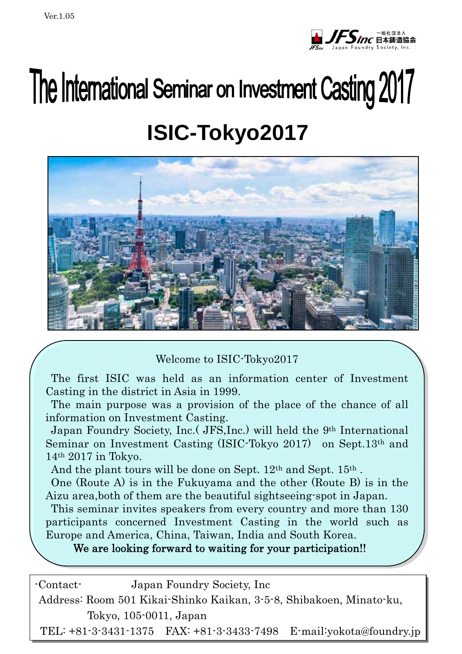$\overline{\phantom{a}}$ 



# The International Seminar on Investment Casting 2017 **ISIC-Tokyo2017**



Welcome to ISIC-Tokyo2017

The first ISIC was held as an information center of Investment Casting in the district in Asia in 1999.

The main purpose was a provision of the place of the chance of all information on Investment Casting.

Seminar on Investment Casting (ISIC-Tokyo 2017) on Sept.13<sup>th</sup> and Japan Foundry Society, Inc.( JFS,Inc.) will held the 9th International 14th 2017 in Tokyo.

And the plant tours will be done on Sept. 12<sup>th</sup> and Sept. 15<sup>th</sup>.

 Aizu area,both of them are the beautiful sightseeing-spot in Japan. One (Route A) is in the Fukuyama and the other (Route B) is in the

 participants concerned Investment Casting in the world such as Europe and America, China, Taiwan, India and South Korea. This seminar invites speakers from every country and more than 130

We are looking forward to waiting for your participation!!

| -Contact- |                        | Japan Foundry Society, Inc.                                         |                                                                     |
|-----------|------------------------|---------------------------------------------------------------------|---------------------------------------------------------------------|
|           |                        | Address: Room 501 Kikai-Shinko Kaikan, 3-5-8, Shibakoen, Minato-ku, |                                                                     |
|           | Tokyo, 105-0011, Japan |                                                                     |                                                                     |
|           |                        |                                                                     | TEL: +81-3-3431-1375 FAX: +81-3-3433-7498 E-mail: yokota@foundry.jp |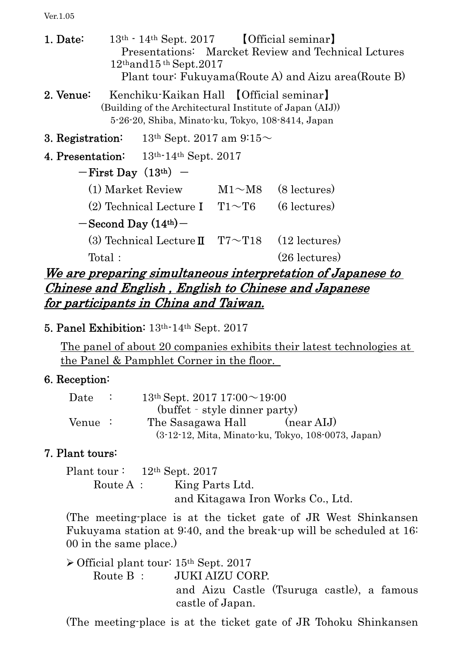Ver.1.05

1. Date:  $13<sup>th</sup> \cdot 14<sup>th</sup>$  Sept. 2017 [Official seminar] Presentations: Marcket Review and Technical Lctures 12thand15 th Sept.2017 Plant tour: Fukuyama(Route A) and Aizu area(Route B) 2. Venue: Kenchiku-Kaikan Hall 【Official seminar】 (Building of the Architectural Institute of Japan (AIJ)) 5-26-20, Shiba, Minato-ku, Tokyo, 108-8414, Japan 3. Registration:  $13<sup>th</sup>$  Sept. 2017 am 9:15 $\sim$ 4. Presentation: 13th-14th Sept. 2017  $-First$  Day  $(13<sup>th</sup>)$  -(1) Market Review  $M1~M8$  (8 lectures) (2) Technical Lecture I  $T1 \sim T6$  (6 lectures)  $-$ Second Day  $(14<sup>th</sup>)$  – (3) Technical Lecture  $\mathbb{I}$  T7~T18 (12 lectures) Total: (26 lectures)

We are preparing simultaneous interpretation of Japanese to Chinese and English , English to Chinese and Japanese for participants in China and Taiwan.

## 5. Panel Exhibition: 13th-14th Sept. 2017

The panel of about 20 companies exhibits their latest technologies at the Panel & Pamphlet Corner in the floor.

### 6. Reception:

| $\rm{\textit{Date}}$ | $13th$ Sept. 2017 $17:00 \sim 19:00$ |                                                    |
|----------------------|--------------------------------------|----------------------------------------------------|
|                      | (buffet - style dinner party)        |                                                    |
| Venue :              | The Sasagawa Hall                    | $(near AIJ)$                                       |
|                      |                                      | (3-12-12, Mita, Minato-ku, Tokyo, 108-0073, Japan) |

### 7. Plant tours:

Plant tour : 12<sup>th</sup> Sept. 2017 Route A : King Parts Ltd. and Kitagawa Iron Works Co., Ltd.

(The meeting-place is at the ticket gate of JR West Shinkansen Fukuyama station at 9:40, and the break-up will be scheduled at 16: 00 in the same place.)

 $\triangleright$  Official plant tour: 15<sup>th</sup> Sept. 2017 Route B: JUKI AIZU CORP and Aizu Castle (Tsuruga castle), a famous castle of Japan.

(The meeting-place is at the ticket gate of JR Tohoku Shinkansen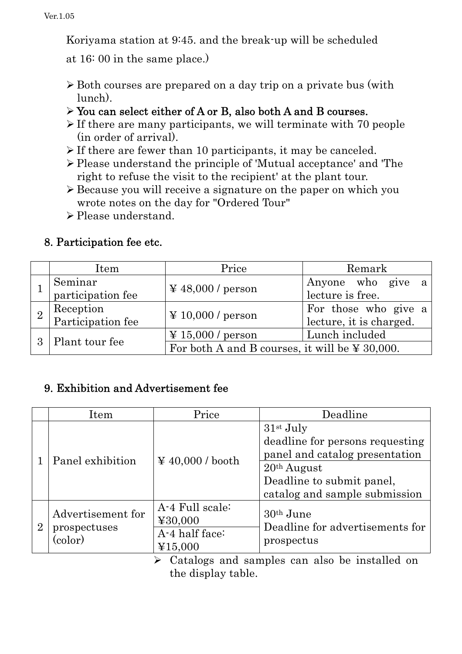Koriyama station at 9:45. and the break-up will be scheduled

at 16: 00 in the same place.)

- Both courses are prepared on a day trip on a private bus (with lunch).
- You can select either of A or B, also both A and B courses.
- $\triangleright$  If there are many participants, we will terminate with 70 people (in order of arrival).
- $\triangleright$  If there are fewer than 10 participants, it may be canceled.
- Please understand the principle of 'Mutual acceptance' and 'The right to refuse the visit to the recipient' at the plant tour.
- Because you will receive a signature on the paper on which you wrote notes on the day for "Ordered Tour"
- > Please understand.

# 8. Participation fee etc.

|   | Item                           | Price                                               | Remark                  |  |  |
|---|--------------------------------|-----------------------------------------------------|-------------------------|--|--|
|   | Seminar                        | $\textnormal{\textbf{4}} 48,000$ / person           | Anyone who give a       |  |  |
|   | participation fee              |                                                     | lecture is free.        |  |  |
|   |                                |                                                     | For those who give a    |  |  |
|   | Reception<br>Participation fee | $\textnormal{\textbf{Y}}$ 10,000 / person           | lecture, it is charged. |  |  |
| 3 |                                | $\text{\textsterling} 15,000$ / person              | Lunch included          |  |  |
|   | Plant tour fee                 | For both A and B courses, it will be $\yen$ 30,000. |                         |  |  |

# 9. Exhibition and Advertisement fee

|                | Item                                         | Price                                                   | Deadline                                                                                          |
|----------------|----------------------------------------------|---------------------------------------------------------|---------------------------------------------------------------------------------------------------|
|                | Panel exhibition                             | $\textnormal{\textbf{4}} 40,000$ / booth                | $31st$ July<br>deadline for persons requesting<br>panel and catalog presentation<br>$20th$ August |
|                |                                              |                                                         | Deadline to submit panel,<br>catalog and sample submission                                        |
| $\overline{2}$ | Advertisement for<br>prospectuses<br>(color) | A-4 Full scale:<br>¥30,000<br>A-4 half face:<br>¥15,000 | $30th$ June<br>Deadline for advertisements for<br>prospectus                                      |

 Catalogs and samples can also be installed on the display table.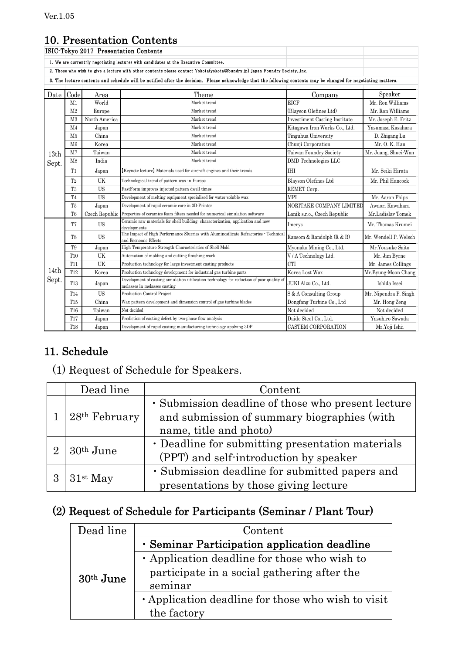## 10. Presentation Contents

|                                       |                                                                                       |               | 10. I I cochtation Contents                                                                                                                                      |                                      |                       |  |  |
|---------------------------------------|---------------------------------------------------------------------------------------|---------------|------------------------------------------------------------------------------------------------------------------------------------------------------------------|--------------------------------------|-----------------------|--|--|
| ISIC-Tokyo 2017 Presentation Contents |                                                                                       |               |                                                                                                                                                                  |                                      |                       |  |  |
|                                       | 1. We are currentrly negotiating lectures with candidates at the Executive Committee. |               |                                                                                                                                                                  |                                      |                       |  |  |
|                                       |                                                                                       |               | 2. Those who wish to give a lecture with other contents please contact Yokota(yokota@foundry.jp) Japan Foundry Society., Inc.                                    |                                      |                       |  |  |
|                                       |                                                                                       |               | 3. The lecture contents and schedule will be notified after the decision. Please acknowledge that the following contents may be changed for negotiating matters. |                                      |                       |  |  |
| Date                                  | Code<br>Theme<br>Area<br>Company                                                      |               |                                                                                                                                                                  |                                      |                       |  |  |
|                                       | M <sub>1</sub>                                                                        | World         | Market trend                                                                                                                                                     | <b>EICF</b>                          | Mr. Ron Williams      |  |  |
|                                       | M <sub>2</sub>                                                                        | Europe        | Market trend                                                                                                                                                     | (Blayson Olefines Ltd)               | Mr. Ron Williams      |  |  |
|                                       | M <sub>3</sub>                                                                        | North America | Market trend                                                                                                                                                     | <b>Investiment Casting Institute</b> | Mr. Joseph E. Fritz   |  |  |
|                                       | M <sub>4</sub>                                                                        | Japan         | Market trend                                                                                                                                                     | Kitagawa Iron Works Co., Ltd.        | Yasumasa Kasahara     |  |  |
|                                       | M <sub>5</sub>                                                                        | China         | Market trend                                                                                                                                                     | Tinguhua University                  | D. Zhigang Lu         |  |  |
|                                       | M6                                                                                    | Korea         | Market trend                                                                                                                                                     | Chunji Corporation                   | Mr. O. K. Han         |  |  |
| 13 <sub>th</sub>                      | M <sub>7</sub>                                                                        | Taiwan        | Market trend                                                                                                                                                     | Taiwan Foundry Society               | Mr. Juang, Shuei-Wan  |  |  |
| Sept.                                 | M <sub>8</sub>                                                                        | India         | Market trend                                                                                                                                                     | DMD Technologies LLC                 |                       |  |  |
|                                       | T1                                                                                    | Japan         | [Keynote lecture] Materials used for aircraft engines and their trends<br>IHI                                                                                    |                                      | Mr. Seiki Hirata      |  |  |
|                                       | T <sub>2</sub>                                                                        | UK            | Technological trend of pattern wax in Europe                                                                                                                     | Blayson Olefines Ltd                 | Mr. Phil Hancock      |  |  |
|                                       | T3                                                                                    | US            | FastForm improves injected pattern dwell times                                                                                                                   | REMET Corp.                          |                       |  |  |
|                                       | T <sub>4</sub>                                                                        | <b>US</b>     | Development of melting equipment specialized for water-soluble wax                                                                                               | MPI                                  | Mr. Aaron Phips       |  |  |
|                                       | T <sub>5</sub>                                                                        | Japan         | Development of rapid ceramic core in 3D-Printer                                                                                                                  | NORITAKE COMPANY LIMITED             | Awaori Kawahara       |  |  |
|                                       | T <sub>6</sub>                                                                        |               | Czech Republic Properties of ceramics foam filters needed for numerical simulation software                                                                      | Lanik s.r.o., Czech Republic         | Mr.Ladislav Tomek     |  |  |
|                                       | T7                                                                                    | US            | Ceramic raw materials for shell building: characterization, application and new<br>Imerys<br>developments                                                        |                                      | Mr. Thomas Krumei     |  |  |
|                                       | T8                                                                                    | <b>US</b>     | The Impact of High Performance Slurries with Aluminosilicate Refractories · Technical<br>and Economic Effects                                                    | Ransom & Randolph (R & R)            | Mr. Wendell P. Welsch |  |  |
|                                       | T9                                                                                    | Japan         | High Temperature Strength Characteristics of Shell Mold                                                                                                          | Myonaka Mining Co., Ltd.             | Mr.Yousuke Saito      |  |  |
|                                       | T <sub>10</sub>                                                                       | UK            | Automation of molding and cutting finishing work                                                                                                                 | V / A Technology Ltd.                | Mr. Jim Byrne         |  |  |
|                                       | <b>T11</b>                                                                            | UK            | Production technology for large investment casting products                                                                                                      | CTI                                  | Mr. James Collings    |  |  |
| 14th                                  | T <sub>12</sub>                                                                       | Korea         | Production technology development for industrial gas turbine parts                                                                                               | Korea Lost Wax                       | Mr.Byung-Moon Chang   |  |  |
| Sept.                                 | T <sub>13</sub>                                                                       | Japan         | Development of casting simulation utilization technology for reduction of poor quality of<br>molasses in molasses casting                                        | JUKI Aizu Co., Ltd.                  | Ishida Issei          |  |  |
|                                       | <b>T14</b>                                                                            | <b>US</b>     | Production Control Project                                                                                                                                       | S & A Consulting Group               | Mr. Nipendra P. Singh |  |  |
|                                       | <b>T15</b>                                                                            | China         | Wax pattern development and dimension control of gas turbine blades                                                                                              | Dongfang Turbine Co., Ltd            | Mr. Hong Zeng         |  |  |
|                                       | T16                                                                                   | Taiwan        | Not decided                                                                                                                                                      | Not decided                          | Not decided           |  |  |
|                                       | <b>T17</b>                                                                            | Japan         | Prediction of casting defect by two-phase flow analysis                                                                                                          | Daido Steel Co., Ltd.                | Yasuhiro Sawada       |  |  |
|                                       | <b>T18</b>                                                                            | Japan         | Development of rapid casting manufacturing technology applying 3DP                                                                                               | <b>CASTEM CORPORATION</b>            | Mr.Yoji Ishii         |  |  |

## 11. Schedule

# (1) Request of Schedule for Speakers.

|                             | Dead line   | Content                                                                                           |  |
|-----------------------------|-------------|---------------------------------------------------------------------------------------------------|--|
| $28th$ February             |             | · Submission deadline of those who present lecture<br>and submission of summary biographies (with |  |
|                             |             | name, title and photo)                                                                            |  |
| $\mathcal{D}_{\mathcal{L}}$ | $30th$ June | • Deadline for submitting presentation materials                                                  |  |
|                             |             | (PPT) and self-introduction by speaker                                                            |  |
| 3                           |             | · Submission deadline for submitted papers and                                                    |  |
|                             | $31st$ May  | presentations by those giving lecture                                                             |  |

# (2) Request of Schedule for Participants (Seminar / Plant Tour)

| Dead line   | Content                                            |  |  |
|-------------|----------------------------------------------------|--|--|
|             | · Seminar Participation application deadline       |  |  |
|             | • Application deadline for those who wish to       |  |  |
| $30th$ June | participate in a social gathering after the        |  |  |
|             | seminar                                            |  |  |
|             | • Application deadline for those who wish to visit |  |  |
|             | the factory                                        |  |  |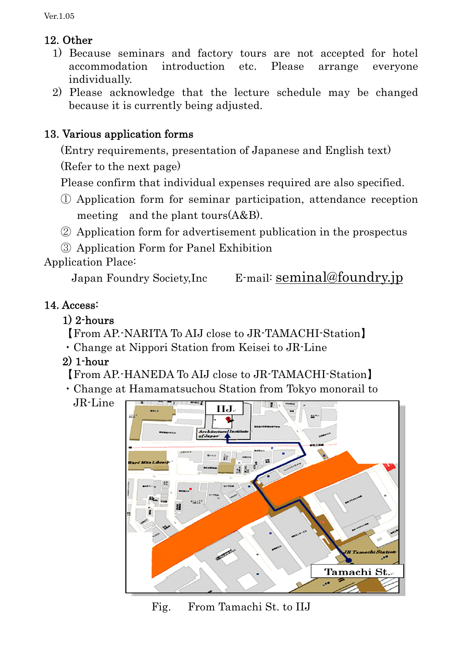# 12. Other

- 1) Because seminars and factory tours are not accepted for hotel accommodation introduction etc. Please arrange everyone individually.
- 2) Please acknowledge that the lecture schedule may be changed because it is currently being adjusted.

# 13. Various application forms

(Entry requirements, presentation of Japanese and English text)

(Refer to the next page)

Please confirm that individual expenses required are also specified.

- ① Application form for seminar participation, attendance reception meeting and the plant tours(A&B).
- ② Application form for advertisement publication in the prospectus

③ Application Form for Panel Exhibition

Application Place:

Japan Foundry Society,Inc E-mail: seminal@foundry.jp

# 14. Access:

# 1) 2-hours

【From AP.-NARITA To AIJ close to JR-TAMACHI-Station】

- ・Change at Nippori Station from Keisei to JR-Line
- 2) 1-hour

【From AP.-HANEDA To AIJ close to JR-TAMACHI-Station】

- ・Change at Hamamatsuchou Station from Tokyo monorail to
	- JR-Line



Fig. From Tamachi St. to IIJ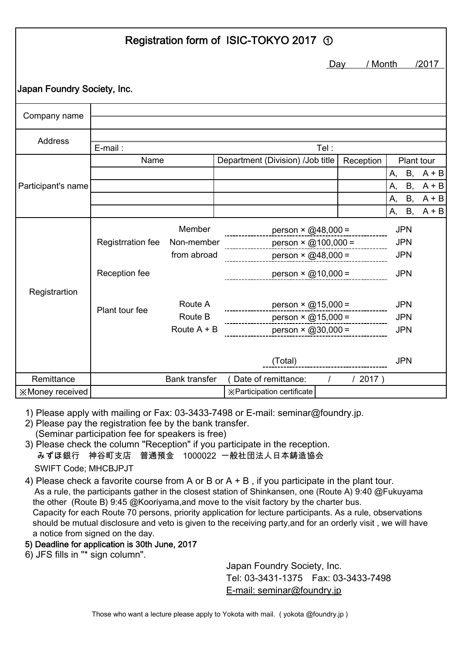| Registration form of ISIC-TOKYO 2017 ① |                   |                      |  |                                                  |            |                |                          |                    |
|----------------------------------------|-------------------|----------------------|--|--------------------------------------------------|------------|----------------|--------------------------|--------------------|
|                                        |                   |                      |  |                                                  |            | / Month<br>Day |                          | /2017              |
| Japan Foundry Society, Inc.            |                   |                      |  |                                                  |            |                |                          |                    |
| Company name                           |                   |                      |  |                                                  |            |                |                          |                    |
| <b>Address</b>                         | E-mail:           |                      |  |                                                  | Tel :      |                |                          |                    |
|                                        | Name              |                      |  | Department (Division) / Job title                |            | Reception      | Plant tour               |                    |
|                                        |                   |                      |  |                                                  |            |                | <b>B</b> ,<br>А,         | $A + B$            |
| Participant's name                     |                   |                      |  |                                                  |            |                | A,<br><b>B</b> ,         | $A + B$            |
|                                        |                   |                      |  |                                                  |            |                | А,<br>B,<br>B,<br>А,     | $A + B$<br>$A + B$ |
|                                        |                   |                      |  |                                                  |            |                |                          |                    |
|                                        | Registrration fee | Member<br>Non-member |  | person $\times$ @48,000 =<br>person × @100,000 = |            |                | <b>JPN</b><br><b>JPN</b> |                    |
|                                        | from abroad       |                      |  | person × @48,000 =                               |            |                | <b>JPN</b>               |                    |
|                                        | Reception fee     |                      |  | person $\times$ @10,000 =                        |            |                | <b>JPN</b>               |                    |
| Registrartion                          | Plant tour fee    | Route A              |  | $person \times @15,000 =$                        |            |                | <b>JPN</b>               |                    |
|                                        | Route B           |                      |  |                                                  |            | <b>JPN</b>     |                          |                    |
|                                        |                   | Route $A + B$        |  | person × @30,000 = _________                     |            |                | <b>JPN</b>               |                    |
|                                        |                   |                      |  | (Total)                                          |            |                | <b>JPN</b>               |                    |
| Remittance                             |                   | <b>Bank transfer</b> |  | (Date of remittance:                             | $\sqrt{2}$ | /2017)         |                          |                    |
| <b>※Money received</b>                 |                   |                      |  | <b>※Participation certificate</b>                |            |                |                          |                    |

1) Please apply with mailing or Fax: 03-3433-7498 or E-mail: seminar@foundry.jp.

- 2) Please pay the registration fee by the bank transfer. (Seminar participation fee for speakers is free)
- 3) Please check the column "Reception" if you participate in the reception. みずほ銀行 神谷町支店 普通預金 1000022 一般社団法人日本鋳造協会 SWIFT Code; MHCBJPJT
- 4) Please check a favorite course from A or B or A + B , if you participate in the plant tour. As a rule, the participants gather in the closest station of Shinkansen, one (Route A) 9:40 @Fukuyama the other (Route B) 9:45 @Kooriyama,and move to the visit factory by the charter bus. Capacity for each Route 70 persons, priority application for lecture participants. As a rule, observations should be mutual disclosure and veto is given to the receiving party,and for an orderly visit , we will have a notice from signed on the day.

#### 5) Deadline for application is 30th June, 2017

6) JFS fills in "\* sign column".

Japan Foundry Society, Inc. Tel: 03-3431-1375 Fax: 03-3433-7498 E-mail: seminar@foundry.jp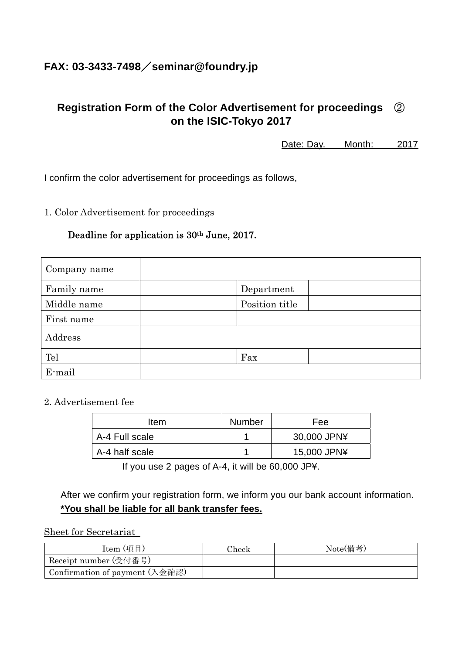## **FAX: 03-3433-7498**/**seminar@foundry.jp**

## **Registration Form of the Color Advertisement for proceedings** ② **on the ISIC-Tokyo 2017**

Date: Day. Month: 2017

I confirm the color advertisement for proceedings as follows,

1. Color Advertisement for proceedings

#### Deadline for application is 30th June, 2017.

| Company name |                |
|--------------|----------------|
| Family name  | Department     |
| Middle name  | Position title |
| First name   |                |
| Address      |                |
| Tel          | Fax            |
| E-mail       |                |

2. Advertisement fee

| Item           | <b>Number</b> | Fee         |
|----------------|---------------|-------------|
| A-4 Full scale |               | 30,000 JPN¥ |
| A-4 half scale |               | 15,000 JPN¥ |

If you use 2 pages of A-4, it will be 60,000 JP¥.

After we confirm your registration form, we inform you our bank account information. **\*You shall be liable for all bank transfer fees.** 

#### Sheet for Secretariat

| Item (項目)                                                      | Check | Note(備考) |
|----------------------------------------------------------------|-------|----------|
| Receipt number (受付番号)                                          |       |          |
| Confirmation of payment $(\lambda \hat{\otimes} \mathbb{R}^2)$ |       |          |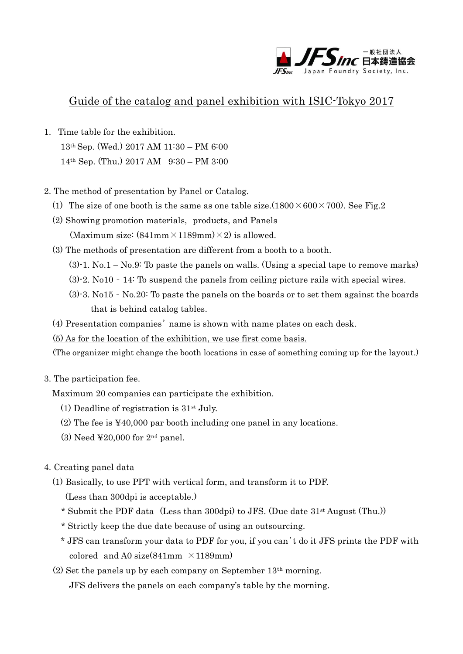

### Guide of the catalog and panel exhibition with ISIC-Tokyo 2017

- 1. Time table for the exhibition. 13th Sep. (Wed.) 2017 AM 11:30 – PM 6:00 14th Sep. (Thu.) 2017 AM 9:30 – PM 3:00
- 2. The method of presentation by Panel or Catalog.
	- (1) The size of one booth is the same as one table size.  $(1800 \times 600 \times 700)$ . See Fig. 2
	- (2) Showing promotion materials, products, and Panels (Maximum size:  $(841mm \times 1189mm) \times 2$ ) is allowed.
	- (3) The methods of presentation are different from a booth to a booth.
		- $(3)$ -1. No.1 No.9: To paste the panels on walls. (Using a special tape to remove marks)
		- (3)-2. No10 14: To suspend the panels from ceiling picture rails with special wires.
		- (3)-3. No15 No.20: To paste the panels on the boards or to set them against the boards that is behind catalog tables.
	- (4) Presentation companies' name is shown with name plates on each desk.
	- (5) As for the location of the exhibition, we use first come basis.

(The organizer might change the booth locations in case of something coming up for the layout.)

3. The participation fee.

Maximum 20 companies can participate the exhibition.

- (1) Deadline of registration is  $31<sup>st</sup>$  July.
- (2) The fee is ¥40,000 par booth including one panel in any locations.
- (3) Need  $\text{\textless}20,000$  for  $2^{\text{nd}}$  panel.
- 4. Creating panel data
	- (1) Basically, to use PPT with vertical form, and transform it to PDF.
		- (Less than 300dpi is acceptable.)
		- \* Submit the PDF data (Less than 300dpi) to JFS. (Due date 31st August (Thu.))
		- \* Strictly keep the due date because of using an outsourcing.
		- \* JFS can transform your data to PDF for you, if you can't do it JFS prints the PDF with colored and A0 size(841mm  $\times$ 1189mm)
	- $(2)$  Set the panels up by each company on September 13<sup>th</sup> morning.

JFS delivers the panels on each company's table by the morning.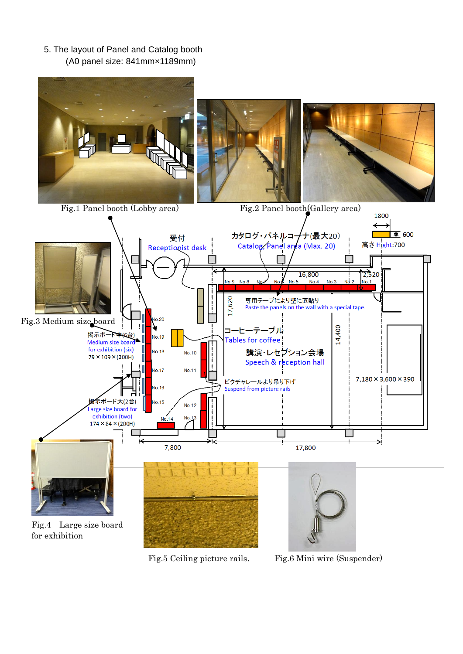5. The layout of Panel and Catalog booth (A0 panel size: 841mm×1189mm)



Fig.5 Ceiling picture rails. Fig.6 Mini wire (Suspender)